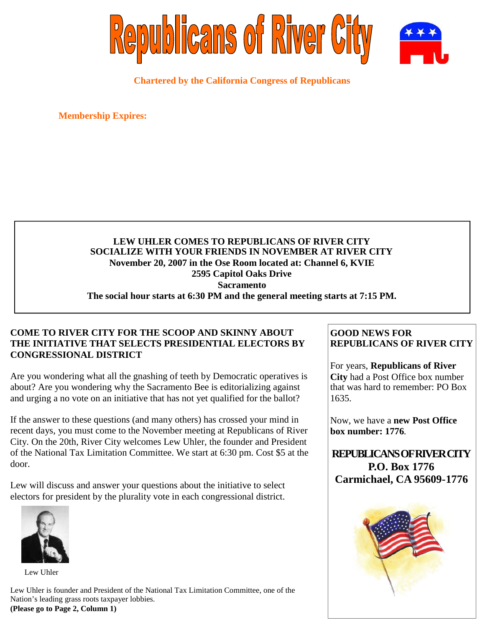

**Chartered by the California Congress of Republicans**

**Membership Expires:**

# **LEW UHLER COMES TO REPUBLICANS OF RIVER CITY SOCIALIZE WITH YOUR FRIENDS IN NOVEMBER AT RIVER CITY November 20, 2007 in the Ose Room located at: Channel 6, KVIE 2595 Capitol Oaks Drive Sacramento The social hour starts at 6:30 PM and the general meeting starts at 7:15 PM.**

# **COME TO RIVER CITY FOR THE SCOOP AND SKINNY ABOUT THE INITIATIVE THAT SELECTS PRESIDENTIAL ELECTORS BY CONGRESSIONAL DISTRICT**

Are you wondering what all the gnashing of teeth by Democratic operatives is about? Are you wondering why the Sacramento Bee is editorializing against and urging a no vote on an initiative that has not yet qualified for the ballot?

If the answer to these questions (and many others) has crossed your mind in recent days, you must come to the November meeting at Republicans of River City. On the 20th, River City welcomes Lew Uhler, the founder and President of the National Tax Limitation Committee. We start at 6:30 pm. Cost \$5 at the door.

Lew will discuss and answer your questions about the initiative to select electors for president by the plurality vote in each congressional district.



Lew Uhler

Lew Uhler is founder and President of the National Tax Limitation Committee, one of the Nation's leading grass roots taxpayer lobbies. **(Please go to Page 2, Column 1)**

# **GOOD NEWS FOR REPUBLICANS OF RIVER CITY**

For years, **Republicans of River City** had a Post Office box number that was hard to remember: PO Box 1635.

Now, we have a **new Post Office box number: 1776**.

**REPUBLICANSOFRIVERCITY P.O. Box 1776 Carmichael, CA 95609-1776**

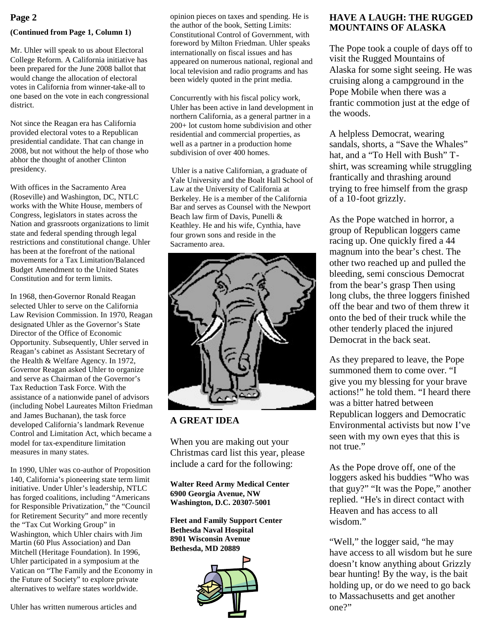#### **(Continued from Page 1, Column 1)**

Mr. Uhler will speak to us about Electoral College Reform. A California initiative has been prepared for the June 2008 ballot that would change the allocation of electoral votes in California from winner-take-all to one based on the vote in each congressional district.

Not since the Reagan era has California provided electoral votes to a Republican presidential candidate. That can change in 2008, but not without the help of those who abhor the thought of another Clinton presidency.

With offices in the Sacramento Area (Roseville) and Washington, DC, NTLC works with the White House, members of Congress, legislators in states across the Nation and grassroots organizations to limit state and federal spending through legal restrictions and constitutional change. Uhler has been at the forefront of the national movements for a Tax Limitation/Balanced Budget Amendment to the United States Constitution and for term limits.

In 1968, then-Governor Ronald Reagan selected Uhler to serve on the California Law Revision Commission. In 1970, Reagan designated Uhler as the Governor's State Director of the Office of Economic Opportunity. Subsequently, Uhler served in Reagan's cabinet as Assistant Secretary of the Health & Welfare Agency. In 1972, Governor Reagan asked Uhler to organize and serve as Chairman of the Governor's Tax Reduction Task Force. With the assistance of a nationwide panel of advisors (including Nobel Laureates Milton Friedman and James Buchanan), the task force developed California's landmark Revenue Control and Limitation Act, which became a model for tax-expenditure limitation measures in many states.

In 1990, Uhler was co-author of Proposition 140, California's pioneering state term limit initiative. Under Uhler's leadership, NTLC has forged coalitions, including "Americans for Responsible Privatization," the "Council for Retirement Security" and more recently the "Tax Cut Working Group" in Washington, which Uhler chairs with Jim Martin (60 Plus Association) and Dan Mitchell (Heritage Foundation). In 1996, Uhler participated in a symposium at the Vatican on "The Family and the Economy in the Future of Society" to explore private alternatives to welfare states worldwide.

opinion pieces on taxes and spending. He is the author of the book, Setting Limits: Constitutional Control of Government, with foreword by Milton Friedman. Uhler speaks internationally on fiscal issues and has appeared on numerous national, regional and local television and radio programs and has been widely quoted in the print media.

Concurrently with his fiscal policy work, Uhler has been active in land development in northern California, as a general partner in a 200+ lot custom home subdivision and other residential and commercial properties, as well as a partner in a production home subdivision of over 400 homes.

Uhler is a native Californian, a graduate of Yale University and the Boalt Hall School of Law at the University of California at Berkeley. He is a member of the California Bar and serves as Counsel with the Newport Beach law firm of Davis, Punelli & Keathley. He and his wife, Cynthia, have four grown sons and reside in the Sacramento area.



# **A GREAT IDEA**

When you are making out your Christmas card list this year, please include a card for the following:

**Walter Reed Army Medical Center 6900 Georgia Avenue, NW Washington, D.C. 20307-5001**

**Fleet and Family Support Center Bethesda Naval Hospital 8901 Wisconsin Avenue Bethesda, MD 20889**



# **Page 2 HAVE A LAUGH: THE RUGGED** opinion pieces on taxes and spending. He is **HAVE A LAUGH: THE RUGGED MOUNTAINS OF ALASKA**

The Pope took a couple of days off to visit the Rugged Mountains of Alaska for some sight seeing. He was cruising along a campground in the Pope Mobile when there was a frantic commotion just at the edge of the woods.

A helpless Democrat, wearing sandals, shorts, a "Save the Whales" hat, and a "To Hell with Bush" Tshirt, was screaming while struggling frantically and thrashing around trying to free himself from the grasp of a 10-foot grizzly.

As the Pope watched in horror, a group of Republican loggers came racing up. One quickly fired a 44 magnum into the bear's chest. The other two reached up and pulled the bleeding, semi conscious Democrat from the bear's grasp Then using long clubs, the three loggers finished off the bear and two of them threw it onto the bed of their truck while the other tenderly placed the injured Democrat in the back seat.

As they prepared to leave, the Pope summoned them to come over. "I give you my blessing for your brave actions!" he told them. "I heard there was a bitter hatred between Republican loggers and Democratic Environmental activists but now I've seen with my own eyes that this is not true."

As the Pope drove off, one of the loggers asked his buddies "Who was that guy?" "It was the Pope," another replied. "He's in direct contact with Heaven and has access to all wisdom."

"Well," the logger said, "he may have access to all wisdom but he sure doesn't know anything about Grizzly bear hunting! By the way, is the bait holding up, or do we need to go back to Massachusetts and get another one?"

Uhler has written numerous articles and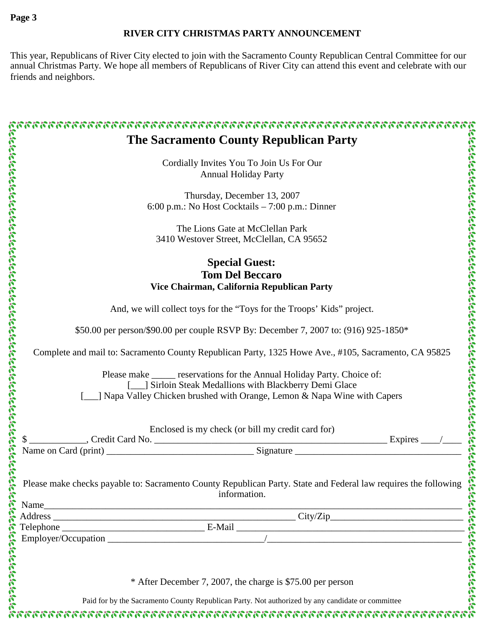# **RIVER CITY CHRISTMAS PARTY ANNOUNCEMENT**

This year, Republicans of River City elected to join with the Sacramento County Republican Central Committee for our annual Christmas Party. We hope all members of Republicans of River City can attend this event and celebrate with our friends and neighbors.

| <b>The Sacramento County Republican Party</b>                                                                                                                                                                                              |
|--------------------------------------------------------------------------------------------------------------------------------------------------------------------------------------------------------------------------------------------|
| Cordially Invites You To Join Us For Our                                                                                                                                                                                                   |
| <b>Annual Holiday Party</b>                                                                                                                                                                                                                |
|                                                                                                                                                                                                                                            |
| Thursday, December 13, 2007<br>6:00 p.m.: No Host Cocktails – 7:00 p.m.: Dinner                                                                                                                                                            |
|                                                                                                                                                                                                                                            |
| The Lions Gate at McClellan Park                                                                                                                                                                                                           |
| 3410 Westover Street, McClellan, CA 95652                                                                                                                                                                                                  |
|                                                                                                                                                                                                                                            |
| <b>Special Guest:</b>                                                                                                                                                                                                                      |
| <b>Tom Del Beccaro</b>                                                                                                                                                                                                                     |
| Vice Chairman, California Republican Party                                                                                                                                                                                                 |
| And, we will collect toys for the "Toys for the Troops' Kids" project.                                                                                                                                                                     |
| \$50.00 per person/\$90.00 per couple RSVP By: December 7, 2007 to: (916) 925-1850*                                                                                                                                                        |
| Complete and mail to: Sacramento County Republican Party, 1325 Howe Ave., #105, Sacramento, CA 95825                                                                                                                                       |
| Please make ______ reservations for the Annual Holiday Party. Choice of:<br>[<br>[Sirloin Steak Medallions with Blackberry Demi Glace                                                                                                      |
| ] Napa Valley Chicken brushed with Orange, Lemon & Napa Wine with Capers                                                                                                                                                                   |
| Enclosed is my check (or bill my credit card for)                                                                                                                                                                                          |
|                                                                                                                                                                                                                                            |
|                                                                                                                                                                                                                                            |
| Examples the checks payable to: Sacramento County Republican Party. State and Federal law requires the following<br>Framely information.<br>Framely Manne<br>Framely Marcos Company (Companion City/Zip<br>City/Zip<br>City/Zip<br>City/Zi |
|                                                                                                                                                                                                                                            |
|                                                                                                                                                                                                                                            |
|                                                                                                                                                                                                                                            |
|                                                                                                                                                                                                                                            |
|                                                                                                                                                                                                                                            |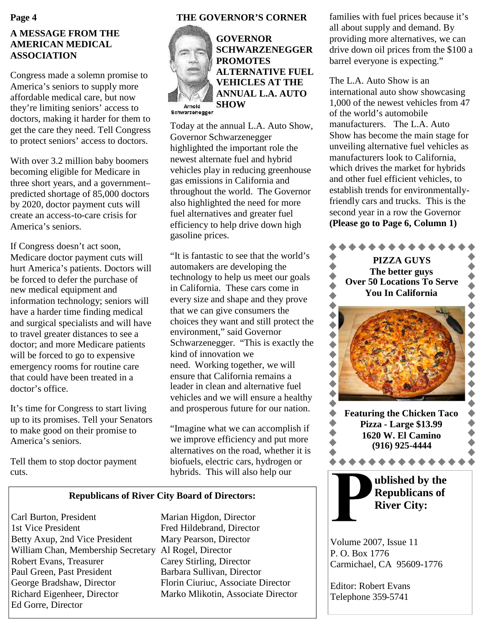# **A MESSAGE FROM THE AMERICAN MEDICAL ASSOCIATION**

Congress made a solemn promise to America's seniors to supply more affordable medical care, but now they're limiting seniors' access to doctors, making it harder for them to get the care they need. Tell Congress to protect seniors' access to doctors.

With over 3.2 million baby boomers becoming eligible for Medicare in three short years, and a government– predicted shortage of 85,000 doctors by 2020, doctor payment cuts will create an access-to-care crisis for America's seniors.

If Congress doesn't act soon, Medicare doctor payment cuts will hurt America's patients. Doctors will be forced to defer the purchase of new medical equipment and information technology; seniors will have a harder time finding medical and surgical specialists and will have to travel greater distances to see a doctor; and more Medicare patients will be forced to go to expensive emergency rooms for routine care that could have been treated in a doctor's office.

It's time for Congress to start living up to its promises. Tell your Senators to make good on their promise to America's seniors.

Tell them to stop doctor payment cuts.

### **THE GOVERNOR'S CORNER**

**GOVERNOR**



**SCHWARZENEGGER PROMOTES ALTERNATIVE FUEL VEHICLES AT THE ANNUAL L.A. AUTO SHOW**

Schwarzenegger

Today at the annual L.A. Auto Show, Governor Schwarzenegger highlighted the important role the newest alternate fuel and hybrid vehicles play in reducing greenhouse gas emissions in California and throughout the world. The Governor also highlighted the need for more fuel alternatives and greater fuel efficiency to help drive down high gasoline prices.

"It is fantastic to see that the world's automakers are developing the technology to help us meet our goals in California. These cars come in every size and shape and they prove that we can give consumers the choices they want and still protect the environment," said Governor Schwarzenegger. "This is exactly the kind of innovation we need. Working together, we will ensure that California remains a leader in clean and alternative fuel vehicles and we will ensure a healthy and prosperous future for our nation.

"Imagine what we can accomplish if we improve efficiency and put more alternatives on the road, whether it is biofuels, electric cars, hydrogen or hybrids. This will also help our

#### **Republicans of River City Board of Directors:**

Carl Burton, President Marian Higdon, Director 1st Vice President Fred Hildebrand, Director Betty Axup, 2nd Vice President Mary Pearson, Director William Chan, Membership Secretary Al Rogel, Director Robert Evans, Treasurer Carey Stirling, Director Paul Green, Past President Barbara Sullivan, Director George Bradshaw, Director Florin Ciuriuc, Associate Director Richard Eigenheer, Director Marko Mlikotin, Associate Director Ed Gorre, Director

families with fuel prices because it's all about supply and demand. By providing more alternatives, we can drive down oil prices from the \$100 a barrel everyone is expecting."

The L.A. Auto Show is an international auto show showcasing 1,000 of the newest vehicles from 47 of the world's automobile manufacturers. The L.A. Auto Show has become the main stage for unveiling alternative fuel vehicles as manufacturers look to California, which drives the market for hybrids and other fuel efficient vehicles, to establish trends for environmentallyfriendly cars and trucks. This is the second year in a row the Governor **(Please go to Page 6, Column 1)**



Volume 2007, Issue 11 P. O. Box 1776 Carmichael, CA 95609-1776

Editor: Robert Evans Telephone 359-5741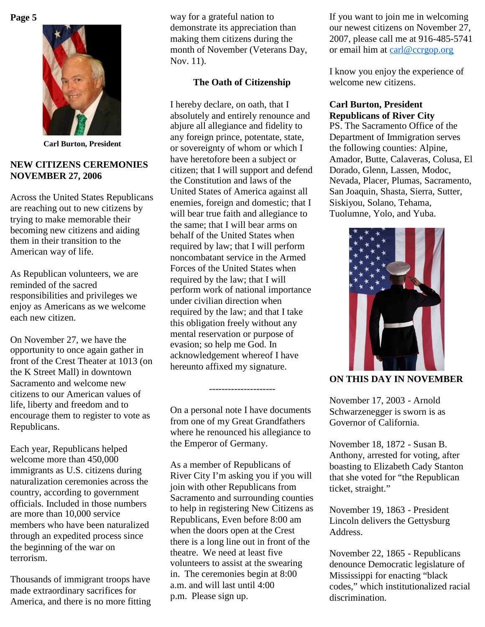

**Carl Burton, President**

### **NEW CITIZENS CEREMONIES NOVEMBER 27, 2006**

Across the United States Republicans are reaching out to new citizens by trying to make memorable their becoming new citizens and aiding them in their transition to the American way of life.

As Republican volunteers, we are reminded of the sacred responsibilities and privileges we enjoy as Americans as we welcome each new citizen.

On November 27, we have the opportunity to once again gather in front of the Crest Theater at 1013 (on the K Street Mall) in downtown Sacramento and welcome new citizens to our American values of life, liberty and freedom and to encourage them to register to vote as Republicans.

Each year, Republicans helped welcome more than 450,000 immigrants as U.S. citizens during naturalization ceremonies across the country, according to government officials. Included in those numbers are more than 10,000 service members who have been naturalized through an expedited process since the beginning of the war on terrorism.

Thousands of immigrant troops have made extraordinary sacrifices for America, and there is no more fitting

way for a grateful nation to demonstrate its appreciation than making them citizens during the month of November (Veterans Day, Nov. 11).

# **The Oath of Citizenship**

I hereby declare, on oath, that I absolutely and entirely renounce and abjure all allegiance and fidelity to any foreign prince, potentate, state, or sovereignty of whom or which I have heretofore been a subject or citizen; that I will support and defend the Constitution and laws of the United States of America against all enemies, foreign and domestic; that I will bear true faith and allegiance to the same; that I will bear arms on behalf of the United States when required by law; that I will perform noncombatant service in the Armed Forces of the United States when required by the law; that I will perform work of national importance under civilian direction when required by the law; and that I take this obligation freely without any mental reservation or purpose of evasion; so help me God. In acknowledgement whereof I have hereunto affixed my signature.

On a personal note I have documents from one of my Great Grandfathers where he renounced his allegiance to the Emperor of Germany.

---------------------

As a member of Republicans of River City I'm asking you if you will join with other Republicans from Sacramento and surrounding counties to help in registering New Citizens as Republicans, Even before 8:00 am when the doors open at the Crest there is a long line out in front of the theatre. We need at least five volunteers to assist at the swearing in. The ceremonies begin at 8:00 a.m. and will last until 4:00 p.m. Please sign up.

If you want to join me in welcoming our newest citizens on November 27, 2007, please call me at 916-485-5741 or email him at carl@ccrgop.org

I know you enjoy the experience of welcome new citizens.

# **Carl Burton, President Republicans of River City**

PS. The Sacramento Office of the Department of Immigration serves the following counties: Alpine, Amador, Butte, Calaveras, Colusa, El Dorado, Glenn, Lassen, Modoc, Nevada, Placer, Plumas, Sacramento, San Joaquin, Shasta, Sierra, Sutter, Siskiyou, Solano, Tehama, Tuolumne, Yolo, and Yuba.



# **ON THIS DAY IN NOVEMBER**

November 17, 2003 - Arnold Schwarzenegger is sworn is as Governor of California.

November 18, 1872 - Susan B. Anthony, arrested for voting, after boasting to Elizabeth Cady Stanton that she voted for "the Republican ticket, straight."

November 19, 1863 - President Lincoln delivers the Gettysburg Address.

November 22, 1865 - Republicans denounce Democratic legislature of Mississippi for enacting "black codes," which institutionalized racial discrimination.